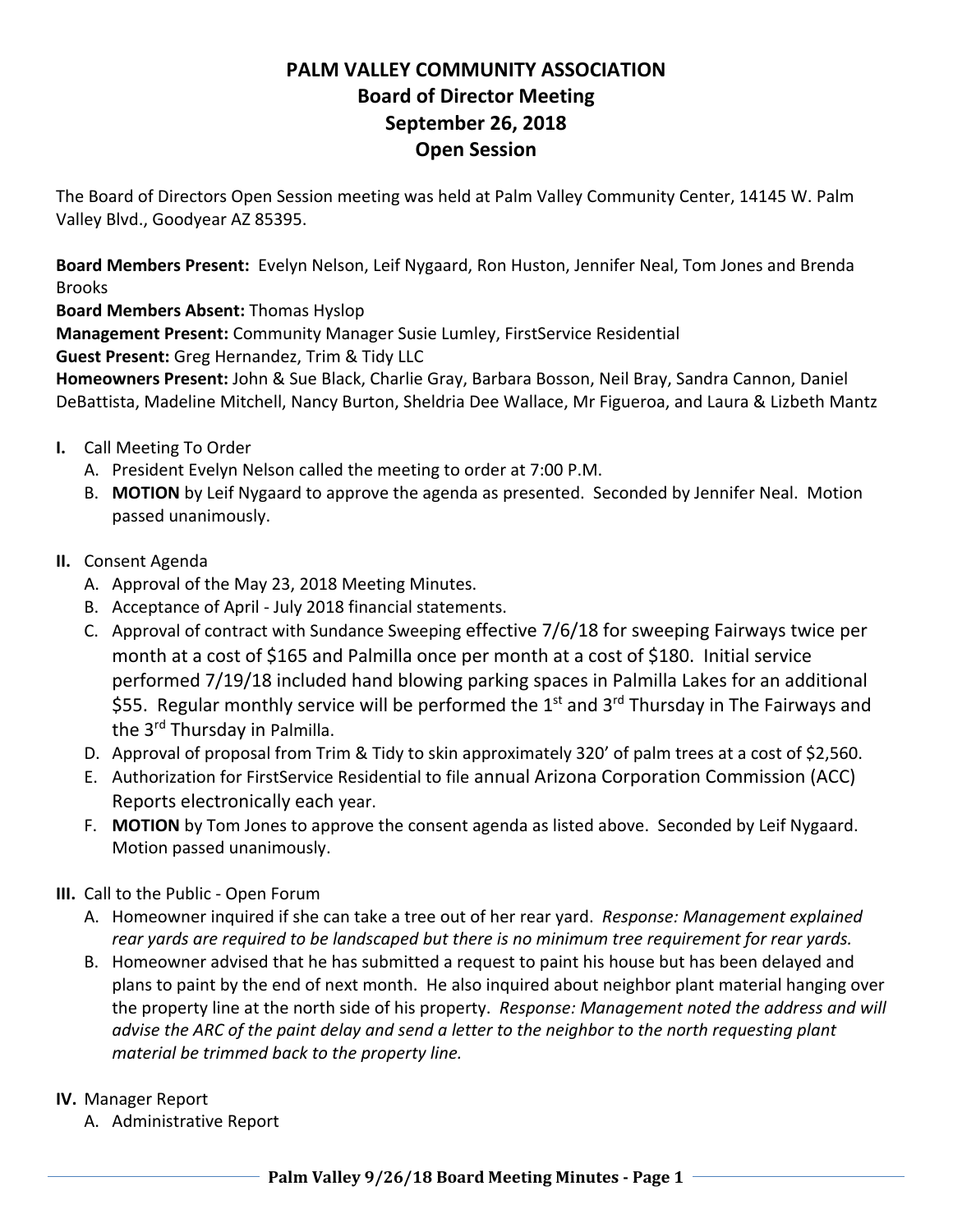## **PALM VALLEY COMMUNITY ASSOCIATION Board of Director Meeting September 26, 2018 Open Session**

The Board of Directors Open Session meeting was held at Palm Valley Community Center, 14145 W. Palm Valley Blvd., Goodyear AZ 85395.

**Board Members Present:** Evelyn Nelson, Leif Nygaard, Ron Huston, Jennifer Neal, Tom Jones and Brenda Brooks

**Board Members Absent:** Thomas Hyslop

**Management Present:** Community Manager Susie Lumley, FirstService Residential

**Guest Present:** Greg Hernandez, Trim & Tidy LLC

**Homeowners Present:** John & Sue Black, Charlie Gray, Barbara Bosson, Neil Bray, Sandra Cannon, Daniel DeBattista, Madeline Mitchell, Nancy Burton, Sheldria Dee Wallace, Mr Figueroa, and Laura & Lizbeth Mantz

- **I.** Call Meeting To Order
	- A. President Evelyn Nelson called the meeting to order at 7:00 P.M.
	- B. **MOTION** by Leif Nygaard to approve the agenda as presented. Seconded by Jennifer Neal. Motion passed unanimously.
- **II.** Consent Agenda
	- A. Approval of the May 23, 2018 Meeting Minutes.
	- B. Acceptance of April ‐ July 2018 financial statements.
	- C. Approval of contract with Sundance Sweeping effective 7/6/18 for sweeping Fairways twice per month at a cost of \$165 and Palmilla once per month at a cost of \$180. Initial service performed 7/19/18 included hand blowing parking spaces in Palmilla Lakes for an additional \$55. Regular monthly service will be performed the  $1<sup>st</sup>$  and  $3<sup>rd</sup>$  Thursday in The Fairways and the 3<sup>rd</sup> Thursday in Palmilla.
	- D. Approval of proposal from Trim & Tidy to skin approximately 320' of palm trees at a cost of \$2,560.
	- E. Authorization for FirstService Residential to file annual Arizona Corporation Commission (ACC) Reports electronically each year.
	- F. **MOTION** by Tom Jones to approve the consent agenda as listed above. Seconded by Leif Nygaard. Motion passed unanimously.
- **III.** Call to the Public ‐ Open Forum
	- A. Homeowner inquired if she can take a tree out of her rear yard. *Response: Management explained rear yards are required to be landscaped but there is no minimum tree requirement for rear yards.*
	- B. Homeowner advised that he has submitted a request to paint his house but has been delayed and plans to paint by the end of next month. He also inquired about neighbor plant material hanging over the property line at the north side of his property. *Response: Management noted the address and will advise the ARC of the paint delay and send a letter to the neighbor to the north requesting plant material be trimmed back to the property line.*
- **IV.** Manager Report
	- A. Administrative Report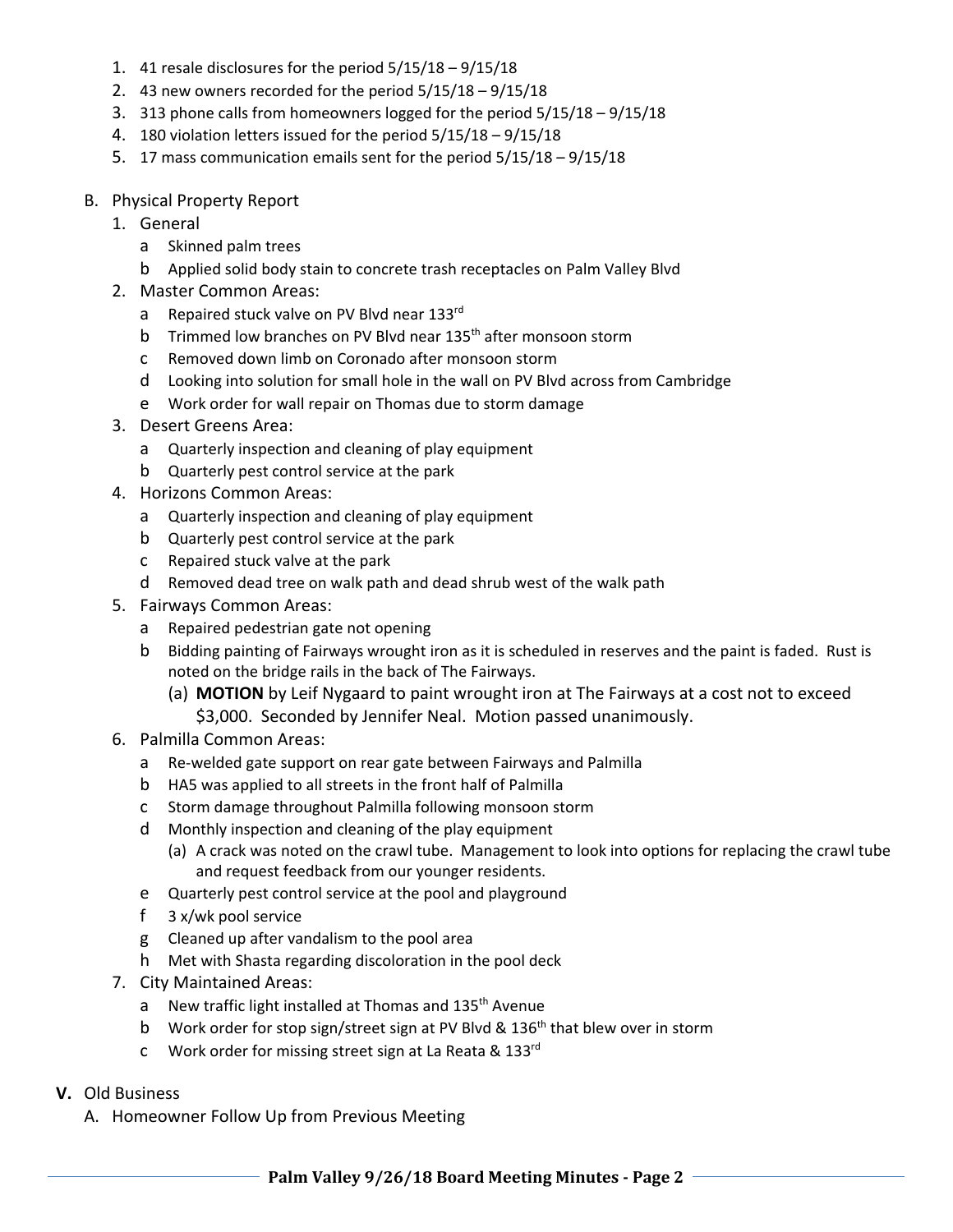- 1. 41 resale disclosures for the period  $5/15/18 9/15/18$
- 2. 43 new owners recorded for the period 5/15/18 9/15/18
- 3. 313 phone calls from homeowners logged for the period 5/15/18 9/15/18
- 4. 180 violation letters issued for the period 5/15/18 9/15/18
- 5. 17 mass communication emails sent for the period 5/15/18 9/15/18
- B. Physical Property Report
	- 1. General
		- a Skinned palm trees
		- b Applied solid body stain to concrete trash receptacles on Palm Valley Blvd
	- 2. Master Common Areas:
		- a Repaired stuck valve on PV Blvd near 133rd
		- b Trimmed low branches on PV Blyd near 135<sup>th</sup> after monsoon storm
		- c Removed down limb on Coronado after monsoon storm
		- d Looking into solution for small hole in the wall on PV Blvd across from Cambridge
		- e Work order for wall repair on Thomas due to storm damage
	- 3. Desert Greens Area:
		- a Quarterly inspection and cleaning of play equipment
		- b Quarterly pest control service at the park
	- 4. Horizons Common Areas:
		- a Quarterly inspection and cleaning of play equipment
		- b Quarterly pest control service at the park
		- c Repaired stuck valve at the park
		- d Removed dead tree on walk path and dead shrub west of the walk path
	- 5. Fairways Common Areas:
		- a Repaired pedestrian gate not opening
		- b Bidding painting of Fairways wrought iron as it is scheduled in reserves and the paint is faded. Rust is noted on the bridge rails in the back of The Fairways.
			- (a) **MOTION** by Leif Nygaard to paint wrought iron at The Fairways at a cost not to exceed \$3,000. Seconded by Jennifer Neal. Motion passed unanimously.
	- 6. Palmilla Common Areas:
		- a Re‐welded gate support on rear gate between Fairways and Palmilla
		- b HA5 was applied to all streets in the front half of Palmilla
		- c Storm damage throughout Palmilla following monsoon storm
		- d Monthly inspection and cleaning of the play equipment
			- (a) A crack was noted on the crawl tube. Management to look into options for replacing the crawl tube and request feedback from our younger residents.
		- e Quarterly pest control service at the pool and playground
		- f 3 x/wk pool service
		- g Cleaned up after vandalism to the pool area
		- h Met with Shasta regarding discoloration in the pool deck
	- 7. City Maintained Areas:
		- a New traffic light installed at Thomas and 135<sup>th</sup> Avenue
		- b Work order for stop sign/street sign at PV Blvd & 136<sup>th</sup> that blew over in storm
		- c Work order for missing street sign at La Reata & 133rd
- **V.** Old Business
	- A. Homeowner Follow Up from Previous Meeting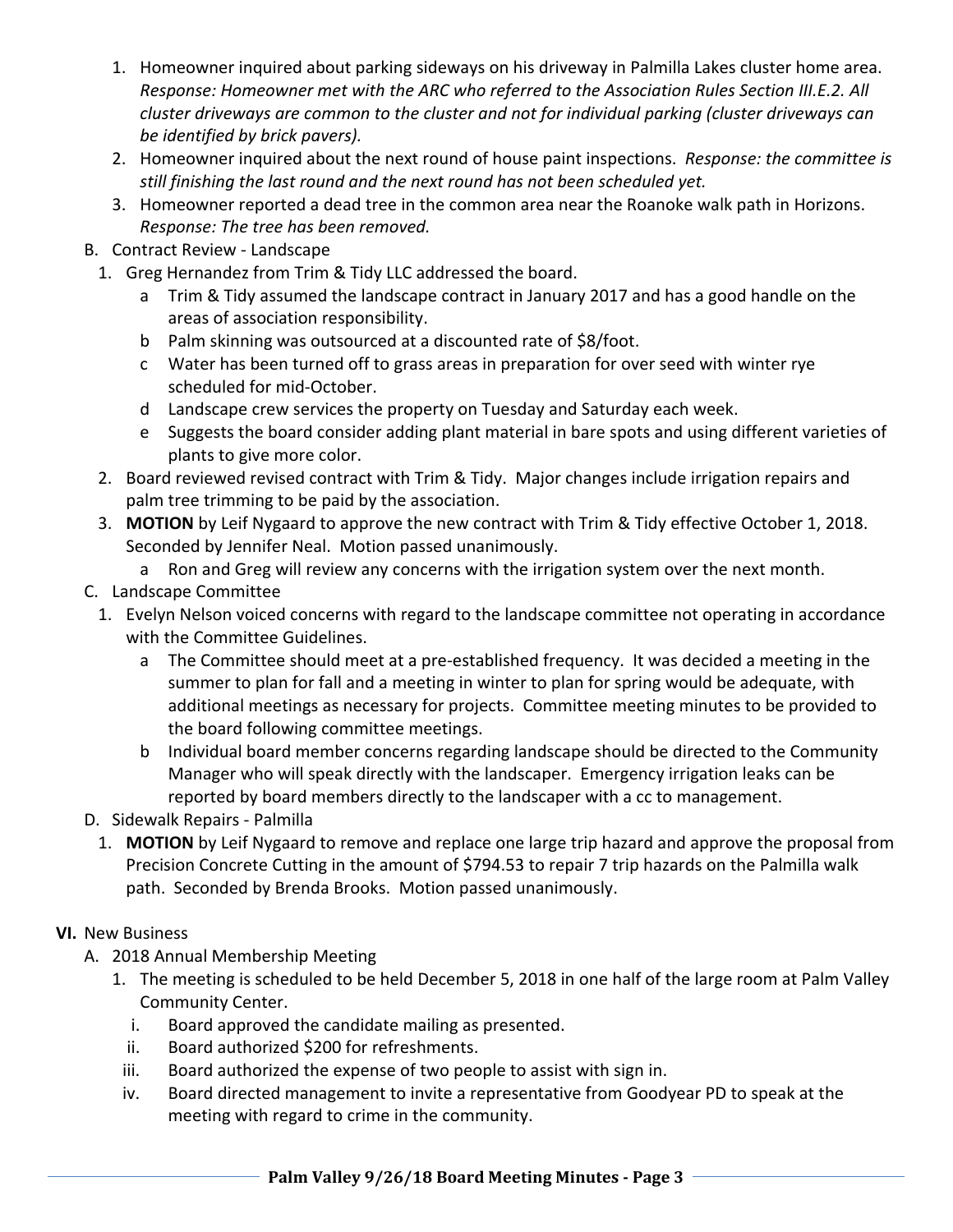- 1. Homeowner inquired about parking sideways on his driveway in Palmilla Lakes cluster home area. *Response: Homeowner met with the ARC who referred to the Association Rules Section III.E.2. All cluster driveways are common to the cluster and not for individual parking (cluster driveways can be identified by brick pavers).*
- 2. Homeowner inquired about the next round of house paint inspections. *Response: the committee is still finishing the last round and the next round has not been scheduled yet.*
- 3. Homeowner reported a dead tree in the common area near the Roanoke walk path in Horizons. *Response: The tree has been removed.*
- B. Contract Review ‐ Landscape
	- 1. Greg Hernandez from Trim & Tidy LLC addressed the board.
		- a Trim & Tidy assumed the landscape contract in January 2017 and has a good handle on the areas of association responsibility.
		- b Palm skinning was outsourced at a discounted rate of \$8/foot.
		- c Water has been turned off to grass areas in preparation for over seed with winter rye scheduled for mid‐October.
		- d Landscape crew services the property on Tuesday and Saturday each week.
		- e Suggests the board consider adding plant material in bare spots and using different varieties of plants to give more color.
	- 2. Board reviewed revised contract with Trim & Tidy. Major changes include irrigation repairs and palm tree trimming to be paid by the association.
	- 3. **MOTION** by Leif Nygaard to approve the new contract with Trim & Tidy effective October 1, 2018. Seconded by Jennifer Neal. Motion passed unanimously.
		- a Ron and Greg will review any concerns with the irrigation system over the next month.
- C. Landscape Committee
	- 1. Evelyn Nelson voiced concerns with regard to the landscape committee not operating in accordance with the Committee Guidelines.
		- a The Committee should meet at a pre‐established frequency. It was decided a meeting in the summer to plan for fall and a meeting in winter to plan for spring would be adequate, with additional meetings as necessary for projects. Committee meeting minutes to be provided to the board following committee meetings.
		- b Individual board member concerns regarding landscape should be directed to the Community Manager who will speak directly with the landscaper. Emergency irrigation leaks can be reported by board members directly to the landscaper with a cc to management.
- D. Sidewalk Repairs ‐ Palmilla
	- 1. **MOTION** by Leif Nygaard to remove and replace one large trip hazard and approve the proposal from Precision Concrete Cutting in the amount of \$794.53 to repair 7 trip hazards on the Palmilla walk path. Seconded by Brenda Brooks. Motion passed unanimously.
- **VI.** New Business
	- A. 2018 Annual Membership Meeting
		- 1. The meeting is scheduled to be held December 5, 2018 in one half of the large room at Palm Valley Community Center.
			- i. Board approved the candidate mailing as presented.
			- ii. Board authorized \$200 for refreshments.
		- iii. Board authorized the expense of two people to assist with sign in.
		- iv. Board directed management to invite a representative from Goodyear PD to speak at the meeting with regard to crime in the community.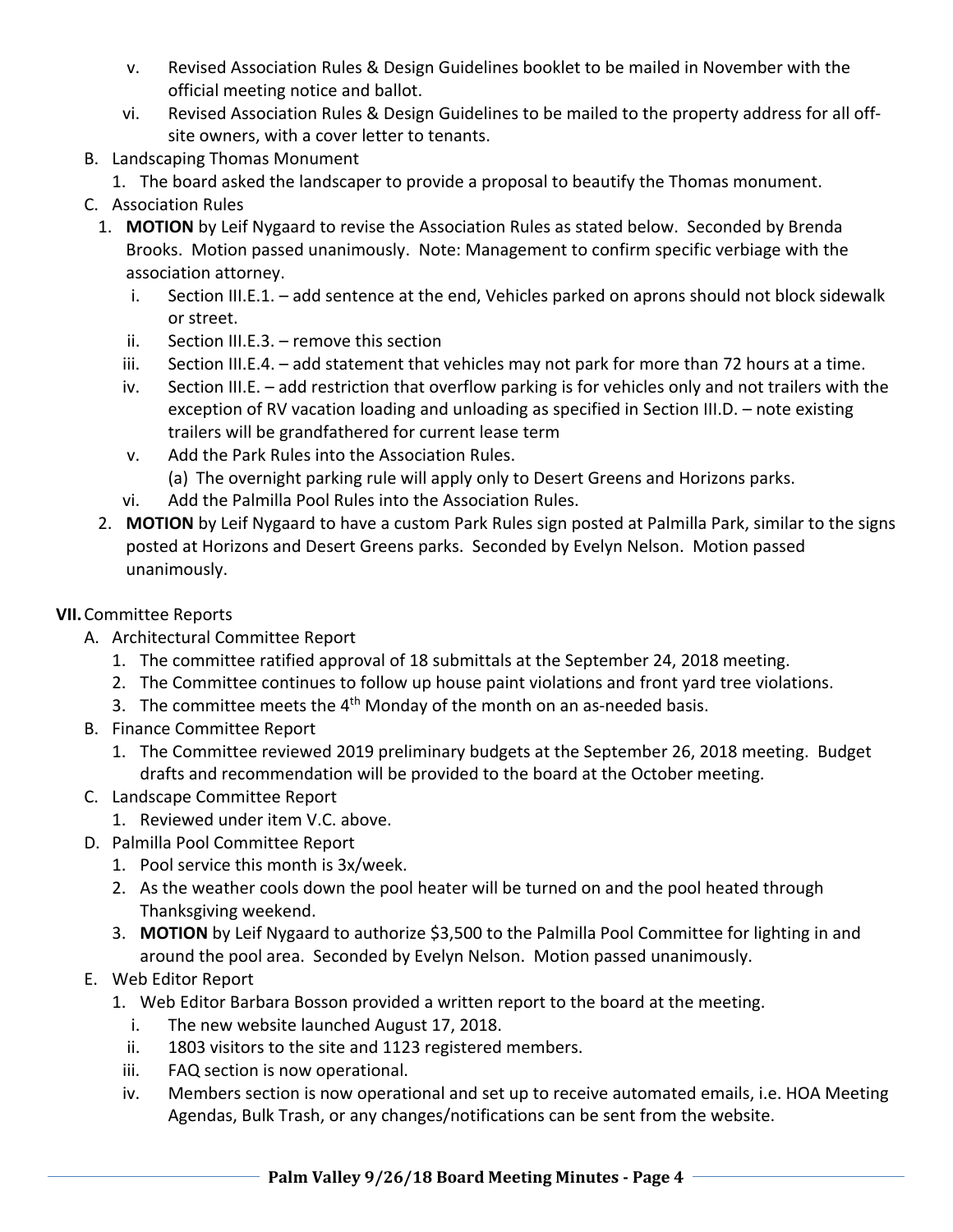- v. Revised Association Rules & Design Guidelines booklet to be mailed in November with the official meeting notice and ballot.
- vi. Revised Association Rules & Design Guidelines to be mailed to the property address for all off‐ site owners, with a cover letter to tenants.
- B. Landscaping Thomas Monument
	- 1. The board asked the landscaper to provide a proposal to beautify the Thomas monument.
- C. Association Rules
	- 1. **MOTION** by Leif Nygaard to revise the Association Rules as stated below. Seconded by Brenda Brooks. Motion passed unanimously. Note: Management to confirm specific verbiage with the association attorney.
		- i. Section III.E.1. add sentence at the end, Vehicles parked on aprons should not block sidewalk or street.
		- ii. Section III.E.3. remove this section
		- iii. Section III.E.4. add statement that vehicles may not park for more than 72 hours at a time.
		- iv. Section III.E. add restriction that overflow parking is for vehicles only and not trailers with the exception of RV vacation loading and unloading as specified in Section III.D. – note existing trailers will be grandfathered for current lease term
		- v. Add the Park Rules into the Association Rules.
			- (a) The overnight parking rule will apply only to Desert Greens and Horizons parks.
		- vi. Add the Palmilla Pool Rules into the Association Rules.
	- 2. **MOTION** by Leif Nygaard to have a custom Park Rules sign posted at Palmilla Park, similar to the signs posted at Horizons and Desert Greens parks. Seconded by Evelyn Nelson. Motion passed unanimously.

## **VII.**Committee Reports

- A. Architectural Committee Report
	- 1. The committee ratified approval of 18 submittals at the September 24, 2018 meeting.
	- 2. The Committee continues to follow up house paint violations and front yard tree violations.
	- 3. The committee meets the  $4<sup>th</sup>$  Monday of the month on an as-needed basis.
- B. Finance Committee Report
	- 1. The Committee reviewed 2019 preliminary budgets at the September 26, 2018 meeting. Budget drafts and recommendation will be provided to the board at the October meeting.
- C. Landscape Committee Report
	- 1. Reviewed under item V.C. above.
- D. Palmilla Pool Committee Report
	- 1. Pool service this month is 3x/week.
	- 2. As the weather cools down the pool heater will be turned on and the pool heated through Thanksgiving weekend.
	- 3. **MOTION** by Leif Nygaard to authorize \$3,500 to the Palmilla Pool Committee for lighting in and around the pool area. Seconded by Evelyn Nelson. Motion passed unanimously.
- E. Web Editor Report
	- 1. Web Editor Barbara Bosson provided a written report to the board at the meeting.
		- i. The new website launched August 17, 2018.
		- ii. 1803 visitors to the site and 1123 registered members.
	- iii. FAQ section is now operational.
	- iv. Members section is now operational and set up to receive automated emails, i.e. HOA Meeting Agendas, Bulk Trash, or any changes/notifications can be sent from the website.